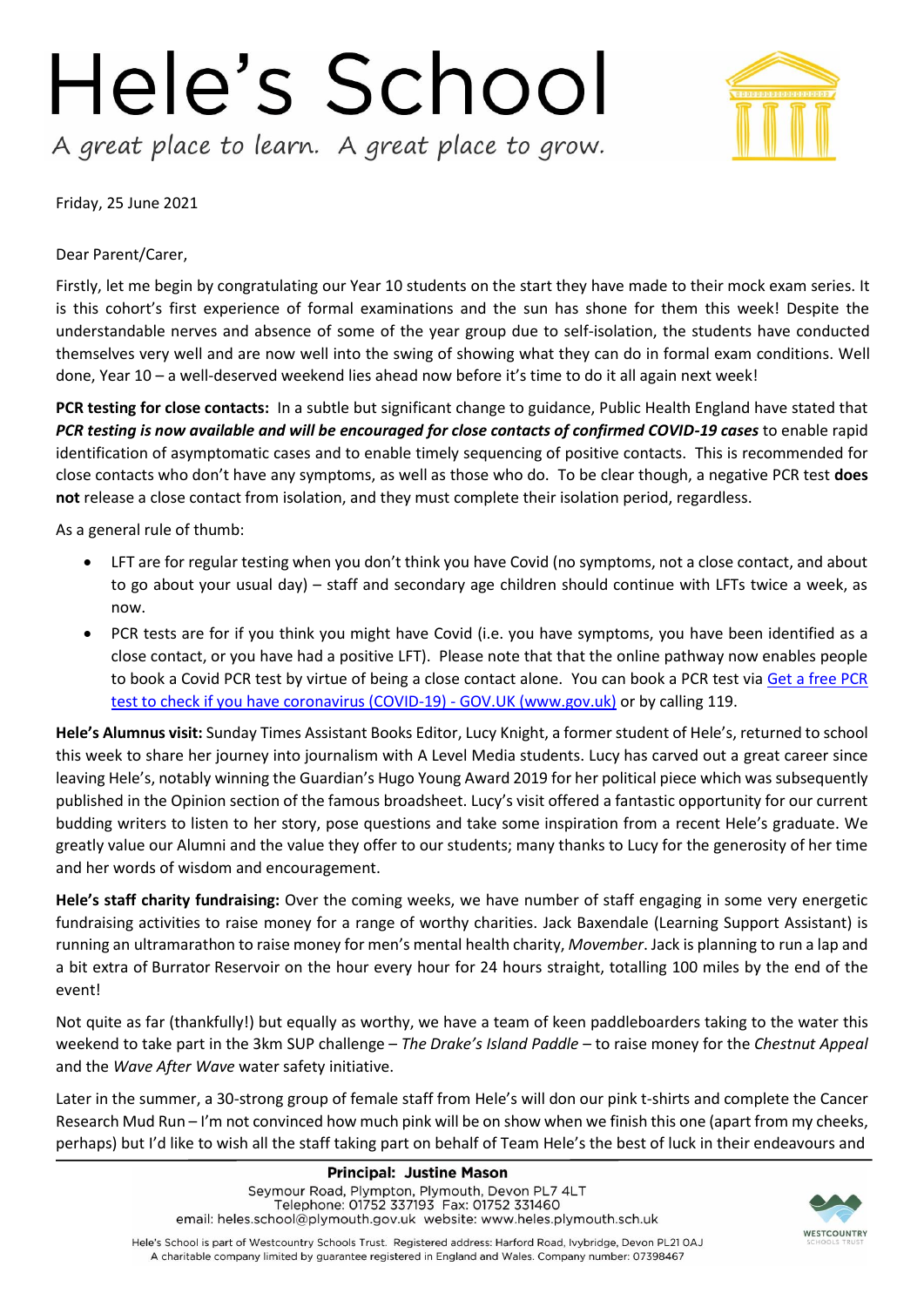## Hele's School A great place to learn. A great place to grow.



Friday, 25 June 2021

Dear Parent/Carer,

Firstly, let me begin by congratulating our Year 10 students on the start they have made to their mock exam series. It is this cohort's first experience of formal examinations and the sun has shone for them this week! Despite the understandable nerves and absence of some of the year group due to self-isolation, the students have conducted themselves very well and are now well into the swing of showing what they can do in formal exam conditions. Well done, Year 10 – a well-deserved weekend lies ahead now before it's time to do it all again next week!

**PCR testing for close contacts:** In a subtle but significant change to guidance, Public Health England have stated that *PCR testing is now available and will be encouraged for close contacts of confirmed COVID-19 cases* to enable rapid identification of asymptomatic cases and to enable timely sequencing of positive contacts. This is recommended for close contacts who don't have any symptoms, as well as those who do. To be clear though, a negative PCR test **does not** release a close contact from isolation, and they must complete their isolation period, regardless.

As a general rule of thumb:

- LFT are for regular testing when you don't think you have Covid (no symptoms, not a close contact, and about to go about your usual day) – staff and secondary age children should continue with LFTs twice a week, as now.
- PCR tests are for if you think you might have Covid (i.e. you have symptoms, you have been identified as a close contact, or you have had a positive LFT). Please note that that the online pathway now enables people to book a Covid PCR test by virtue of being a close contact alone. You can book a PCR test via [Get a free PCR](https://www.gov.uk/get-coronavirus-test)  [test to check if you have coronavirus \(COVID-19\) -](https://www.gov.uk/get-coronavirus-test) GOV.UK (www.gov.uk) or by calling 119.

**Hele's Alumnus visit:** Sunday Times Assistant Books Editor, Lucy Knight, a former student of Hele's, returned to school this week to share her journey into journalism with A Level Media students. Lucy has carved out a great career since leaving Hele's, notably winning the Guardian's Hugo Young Award 2019 for her political piece which was subsequently published in the Opinion section of the famous broadsheet. Lucy's visit offered a fantastic opportunity for our current budding writers to listen to her story, pose questions and take some inspiration from a recent Hele's graduate. We greatly value our Alumni and the value they offer to our students; many thanks to Lucy for the generosity of her time and her words of wisdom and encouragement.

**Hele's staff charity fundraising:** Over the coming weeks, we have number of staff engaging in some very energetic fundraising activities to raise money for a range of worthy charities. Jack Baxendale (Learning Support Assistant) is running an ultramarathon to raise money for men's mental health charity, *Movember*. Jack is planning to run a lap and a bit extra of Burrator Reservoir on the hour every hour for 24 hours straight, totalling 100 miles by the end of the event!

Not quite as far (thankfully!) but equally as worthy, we have a team of keen paddleboarders taking to the water this weekend to take part in the 3km SUP challenge – *The Drake's Island Paddle* – to raise money for the *Chestnut Appeal* and the *Wave After Wave* water safety initiative.

Later in the summer, a 30-strong group of female staff from Hele's will don our pink t-shirts and complete the Cancer Research Mud Run – I'm not convinced how much pink will be on show when we finish this one (apart from my cheeks, perhaps) but I'd like to wish all the staff taking part on behalf of Team Hele's the best of luck in their endeavours and



Hele's School is part of Westcountry Schools Trust. Registered address: Harford Road, Ivybridge, Devon PL21 0AJ A charitable company limited by guarantee registered in England and Wales. Company number: 07398467